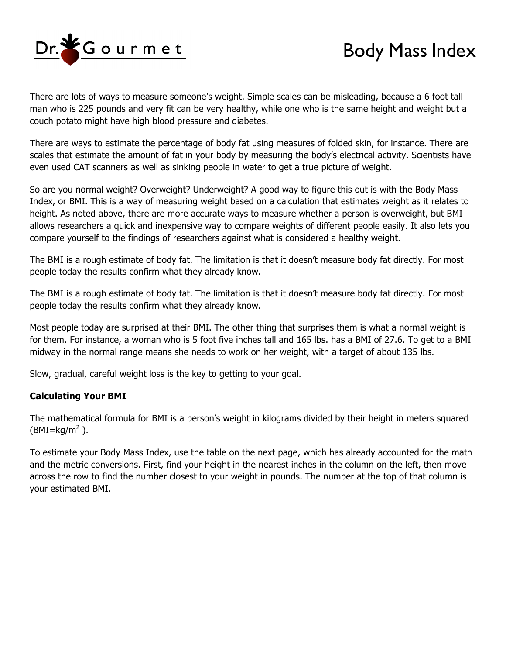

## Body Mass Index

There are lots of ways to measure someone's weight. Simple scales can be misleading, because a 6 foot tall man who is 225 pounds and very fit can be very healthy, while one who is the same height and weight but a couch potato might have high blood pressure and diabetes.

There are ways to estimate the percentage of body fat using measures of folded skin, for instance. There are scales that estimate the amount of fat in your body by measuring the body's electrical activity. Scientists have even used CAT scanners as well as sinking people in water to get a true picture of weight.

So are you normal weight? Overweight? Underweight? A good way to figure this out is with the Body Mass Index, or BMI. This is a way of measuring weight based on a calculation that estimates weight as it relates to height. As noted above, there are more accurate ways to measure whether a person is overweight, but BMI allows researchers a quick and inexpensive way to compare weights of different people easily. It also lets you compare yourself to the findings of researchers against what is considered a healthy weight.

The BMI is a rough estimate of body fat. The limitation is that it doesn't measure body fat directly. For most people today the results confirm what they already know.

The BMI is a rough estimate of body fat. The limitation is that it doesn't measure body fat directly. For most people today the results confirm what they already know.

Most people today are surprised at their BMI. The other thing that surprises them is what a normal weight is for them. For instance, a woman who is 5 foot five inches tall and 165 lbs. has a BMI of 27.6. To get to a BMI midway in the normal range means she needs to work on her weight, with a target of about 135 lbs.

Slow, gradual, careful weight loss is the key to getting to your goal.

## **Calculating Your BMI**

The mathematical formula for BMI is a person's weight in kilograms divided by their height in meters squared (BMI=kg/m $^2$  ).

To estimate your Body Mass Index, use the table on the next page, which has already accounted for the math and the metric conversions. First, find your height in the nearest inches in the column on the left, then move across the row to find the number closest to your weight in pounds. The number at the top of that column is your estimated BMI.